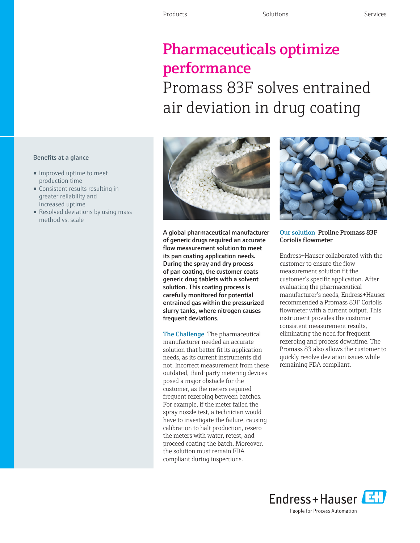## Pharmaceuticals optimize performance Promass 83F solves entrained

air deviation in drug coating

## Benefits at a glance

- Improved uptime to meet production time
- Consistent results resulting in greater reliability and increased uptime
- Resolved deviations by using mass method vs. scale



A global pharmaceutical manufacturer of generic drugs required an accurate flow measurement solution to meet its pan coating application needs. During the spray and dry process of pan coating, the customer coats generic drug tablets with a solvent solution. This coating process is carefully monitored for potential entrained gas within the pressurized slurry tanks, where nitrogen causes frequent deviations.

The Challenge The pharmaceutical manufacturer needed an accurate solution that better fit its application needs, as its current instruments did not. Incorrect measurement from these outdated, third-party metering devices posed a major obstacle for the customer, as the meters required frequent rezeroing between batches. For example, if the meter failed the spray nozzle test, a technician would have to investigate the failure, causing calibration to halt production, rezero the meters with water, retest, and proceed coating the batch. Moreover, the solution must remain FDA compliant during inspections.



## Our solution Proline Promass 83F Coriolis flowmeter

Endress+Hauser collaborated with the customer to ensure the flow measurement solution fit the customer's specific application. After evaluating the pharmaceutical manufacturer's needs, Endress+Hauser recommended a Promass 83F Coriolis flowmeter with a current output. This instrument provides the customer consistent measurement results, eliminating the need for frequent rezeroing and process downtime. The Promass 83 also allows the customer to quickly resolve deviation issues while remaining FDA compliant.